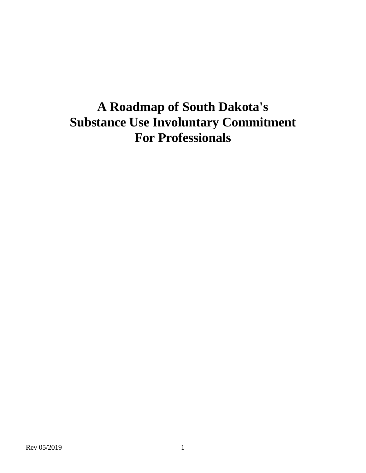# **A Roadmap of South Dakota's Substance Use Involuntary Commitment For Professionals**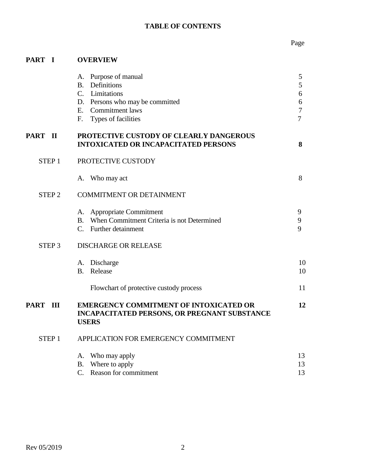# **TABLE OF CONTENTS**

# Page

# **PART I OVERVIEW**

|                    | A. Purpose of manual<br><b>B.</b> Definitions<br>C. Limitations<br>D. Persons who may be committed<br>E. Commitment laws<br>F.<br>Types of facilities | 5<br>5<br>6<br>6<br>$\overline{7}$<br>$\overline{7}$ |
|--------------------|-------------------------------------------------------------------------------------------------------------------------------------------------------|------------------------------------------------------|
| <b>PART II</b>     | PROTECTIVE CUSTODY OF CLEARLY DANGEROUS<br><b>INTOXICATED OR INCAPACITATED PERSONS</b>                                                                | 8                                                    |
| STEP <sub>1</sub>  | PROTECTIVE CUSTODY                                                                                                                                    |                                                      |
|                    | A. Who may act                                                                                                                                        | 8                                                    |
| STEP <sub>2</sub>  | <b>COMMITMENT OR DETAINMENT</b>                                                                                                                       |                                                      |
|                    | A. Appropriate Commitment<br>B. When Commitment Criteria is not Determined<br>C. Further detainment                                                   | 9<br>9<br>9                                          |
| STEP <sub>3</sub>  | <b>DISCHARGE OR RELEASE</b>                                                                                                                           |                                                      |
|                    | A. Discharge<br>Release<br><b>B.</b>                                                                                                                  | 10<br>10                                             |
|                    | Flowchart of protective custody process                                                                                                               | 11                                                   |
| <b>PART</b><br>III | <b>EMERGENCY COMMITMENT OF INTOXICATED OR</b><br><b>INCAPACITATED PERSONS, OR PREGNANT SUBSTANCE</b><br><b>USERS</b>                                  | 12                                                   |
| STEP <sub>1</sub>  | APPLICATION FOR EMERGENCY COMMITMENT                                                                                                                  |                                                      |
|                    | A. Who may apply<br>B. Where to apply<br>C. Reason for commitment                                                                                     | 13<br>13<br>13                                       |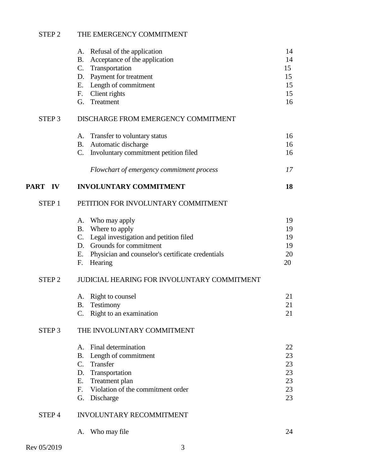# STEP 2 THE EMERGENCY COMMITMENT

|                   | A. Refusal of the application<br>Acceptance of the application<br>B.<br>C. Transportation | 14<br>14<br>15 |
|-------------------|-------------------------------------------------------------------------------------------|----------------|
|                   | D. Payment for treatment                                                                  | 15             |
|                   | E. Length of commitment                                                                   | 15<br>15       |
|                   | Client rights<br>F.<br>G. Treatment                                                       | 16             |
| STEP <sub>3</sub> | DISCHARGE FROM EMERGENCY COMMITMENT                                                       |                |
|                   | A. Transfer to voluntary status                                                           | 16             |
|                   | Automatic discharge<br><b>B.</b>                                                          | 16             |
|                   | C. Involuntary commitment petition filed                                                  | 16             |
|                   | Flowchart of emergency commitment process                                                 | 17             |
| PART IV           | <b>INVOLUNTARY COMMITMENT</b>                                                             | 18             |
| STEP <sub>1</sub> | PETITION FOR INVOLUNTARY COMMITMENT                                                       |                |
|                   | A. Who may apply                                                                          | 19             |
|                   | B. Where to apply                                                                         | 19             |
|                   | C. Legal investigation and petition filed<br>D. Grounds for commitment                    | 19<br>19       |
|                   | E.<br>Physician and counselor's certificate credentials                                   | 20             |
|                   | Hearing<br>F.                                                                             | 20             |
| STEP <sub>2</sub> | JUDICIAL HEARING FOR INVOLUNTARY COMMITMENT                                               |                |
|                   | A. Right to counsel                                                                       | 21             |
|                   | Testimony<br>B.                                                                           | 21             |
|                   | C. Right to an examination                                                                | 21             |
| STEP <sub>3</sub> | THE INVOLUNTARY COMMITMENT                                                                |                |
|                   | A. Final determination                                                                    | 22             |
|                   | Length of commitment<br>B.                                                                | 23             |
|                   | $C_{\cdot}$<br>Transfer                                                                   | 23             |
|                   | Transportation<br>D.                                                                      | 23             |
|                   | Treatment plan<br>Е.<br>Violation of the commitment order<br>F.                           | 23<br>23       |
|                   | G. Discharge                                                                              | 23             |
|                   |                                                                                           |                |
| STEP <sub>4</sub> | INVOLUNTARY RECOMMITMENT                                                                  |                |
|                   | A. Who may file                                                                           | 24             |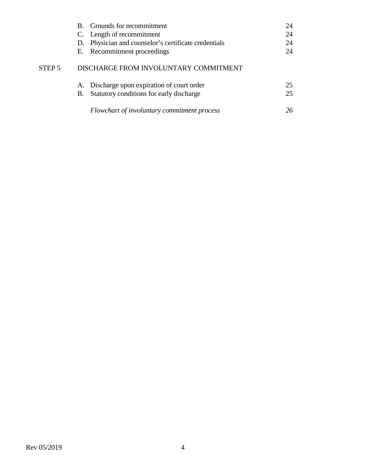|                   | B. Grounds for recommitment                          | 24 |
|-------------------|------------------------------------------------------|----|
|                   | C. Length of recommitment                            | 24 |
|                   | D. Physician and counselor's certificate credentials | 24 |
|                   | E. Recommitment proceedings                          | 24 |
| STEP <sub>5</sub> | DISCHARGE FROM INVOLUNTARY COMMITMENT                |    |
|                   | A. Discharge upon expiration of court order          | 25 |
|                   | Statutory conditions for early discharge<br>B.       | 25 |
|                   | Flowchart of involuntary commitment process          | 26 |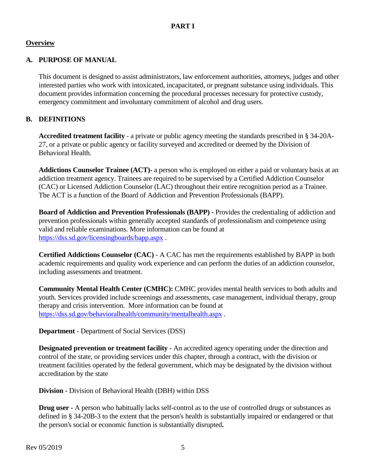#### **Overview**

#### **A. PURPOSE OF MANUAL**

This document is designed to assist administrators, law enforcement authorities, attorneys, judges and other interested parties who work with intoxicated, incapacitated, or pregnant substance using individuals. This document provides information concerning the procedural processes necessary for protective custody, emergency commitment and involuntary commitment of alcohol and drug users.

#### **B. DEFINITIONS**

**Accredited treatment facility** - a private or public agency meeting the standards prescribed in § 34-20A-27, or a private or public agency or facility surveyed and accredited or deemed by the Division of Behavioral Health.

**Addictions Counselor Trainee (ACT)-** a person who is employed on either a paid or voluntary basis at an addiction treatment agency. Trainees are required to be supervised by a Certified Addiction Counselor (CAC) or Licensed Addiction Counselor (LAC) throughout their entire recognition period as a Trainee. The ACT is a function of the Board of Addiction and Prevention Professionals (BAPP).

**Board of Addiction and Prevention Professionals (BAPP) -** Provides the credentialing of addiction and prevention professionals within generally accepted standards of professionalism and competence using valid and reliable examinations. More information can be found at <https://dss.sd.gov/licensingboards/bapp.aspx> .

**Certified Addictions Counselor (CAC)** - A CAC has met the requirements established by BAPP in both academic requirements and quality work experience and can perform the duties of an addiction counselor, including assessments and treatment.

**Community Mental Health Center (CMHC):** CMHC provides mental health services to both adults and youth. Services provided include screenings and assessments, case management, individual therapy, group therapy and crisis intervention. More information can be found at <https://dss.sd.gov/behavioralhealth/community/mentalhealth.aspx> .

**Department** - Department of Social Services (DSS)

**Designated prevention or treatment facility -** An accredited agency operating under the direction and control of the state, or providing services under this chapter, through a contract, with the division or treatment facilities operated by the federal government, which may be designated by the division without accreditation by the state

**Division -** Division of Behavioral Health (DBH) within DSS

**Drug user -** A person who habitually lacks self-control as to the use of controlled drugs or substances as defined in § 34-20B-3 to the extent that the person's health is substantially impaired or endangered or that the person's social or economic function is substantially disrupted**.**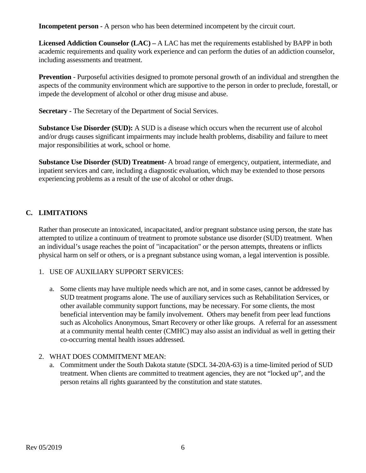**Incompetent person -** A person who has been determined incompetent by the circuit court.

**Licensed Addiction Counselor (LAC) –** A LAC has met the requirements established by BAPP in both academic requirements and quality work experience and can perform the duties of an addiction counselor, including assessments and treatment.

**Prevention** - Purposeful activities designed to promote personal growth of an individual and strengthen the aspects of the community environment which are supportive to the person in order to preclude, forestall, or impede the development of alcohol or other drug misuse and abuse.

**Secretary -** The Secretary of the Department of Social Services.

**Substance Use Disorder (SUD):** A SUD is a disease which occurs when the recurrent use of alcohol and/or drugs causes significant impairments may include health problems, disability and failure to meet major responsibilities at work, school or home.

**Substance Use Disorder (SUD) Treatment-** A broad range of emergency, outpatient, intermediate, and inpatient services and care, including a diagnostic evaluation, which may be extended to those persons experiencing problems as a result of the use of alcohol or other drugs.

# **C. LIMITATIONS**

Rather than prosecute an intoxicated, incapacitated, and/or pregnant substance using person, the state has attempted to utilize a continuum of treatment to promote substance use disorder (SUD) treatment. When an individual's usage reaches the point of "incapacitation" or the person attempts, threatens or inflicts physical harm on self or others, or is a pregnant substance using woman, a legal intervention is possible.

#### 1. USE OF AUXILIARY SUPPORT SERVICES:

a. Some clients may have multiple needs which are not, and in some cases, cannot be addressed by SUD treatment programs alone. The use of auxiliary services such as Rehabilitation Services, or other available community support functions, may be necessary. For some clients, the most beneficial intervention may be family involvement. Others may benefit from peer lead functions such as Alcoholics Anonymous, Smart Recovery or other like groups. A referral for an assessment at a community mental health center (CMHC) may also assist an individual as well in getting their co-occurring mental health issues addressed.

#### 2. WHAT DOES COMMITMENT MEAN:

a. Commitment under the South Dakota statute (SDCL 34-20A-63) is a time-limited period of SUD treatment. When clients are committed to treatment agencies, they are not "locked up", and the person retains all rights guaranteed by the constitution and state statutes.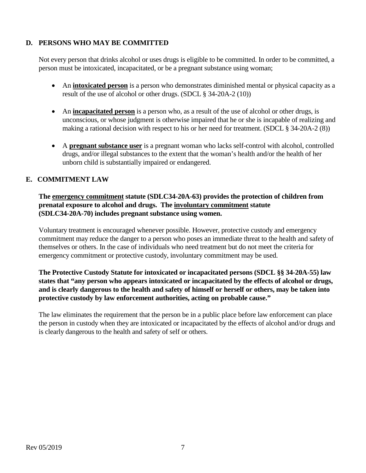# **D. PERSONS WHO MAY BE COMMITTED**

Not every person that drinks alcohol or uses drugs is eligible to be committed. In order to be committed, a person must be intoxicated, incapacitated, or be a pregnant substance using woman;

- An **intoxicated person** is a person who demonstrates diminished mental or physical capacity as a result of the use of alcohol or other drugs. (SDCL § 34-20A-2 (10))
- An **incapacitated person** is a person who, as a result of the use of alcohol or other drugs, is unconscious, or whose judgment is otherwise impaired that he or she is incapable of realizing and making a rational decision with respect to his or her need for treatment. (SDCL § 34-20A-2 (8))
- A **pregnant substance user** is a pregnant woman who lacks self-control with alcohol, controlled drugs, and/or illegal substances to the extent that the woman's health and/or the health of her unborn child is substantially impaired or endangered.

#### **E. COMMITMENT LAW**

#### **The emergency commitment statute (SDLC34-20A-63) provides the protection of children from prenatal exposure to alcohol and drugs. The involuntary commitment statute (SDLC34-20A-70) includes pregnant substance using women.**

Voluntary treatment is encouraged whenever possible. However, protective custody and emergency commitment may reduce the danger to a person who poses an immediate threat to the health and safety of themselves or others. In the case of individuals who need treatment but do not meet the criteria for emergency commitment or protective custody, involuntary commitment may be used.

**The Protective Custody Statute for intoxicated or incapacitated persons (SDCL §§ 34-20A-55) law states that "any person who appears intoxicated or incapacitated by the effects of alcohol or drugs, and is clearly dangerous to the health and safety of himself or herself or others, may be taken into protective custody by law enforcement authorities, acting on probable cause."**

The law eliminates the requirement that the person be in a public place before law enforcement can place the person in custody when they are intoxicated or incapacitated by the effects of alcohol and/or drugs and is clearly dangerous to the health and safety of self or others.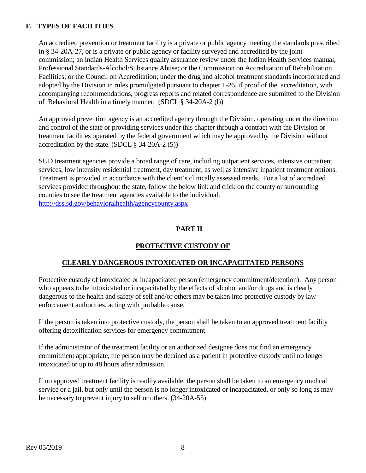# **F. TYPES OF FACILITIES**

An accredited prevention or treatment facility is a private or public agency meeting the standards prescribed in § 34-20A-27, or is a private or public agency or facility surveyed and accredited by the joint commission; an Indian Health Services quality assurance review under the Indian Health Services manual, Professional Standards-Alcohol/Substance Abuse; or the Commission on Accreditation of Rehabilitation Facilities; or the Council on Accreditation; under the drug and alcohol treatment standards incorporated and adopted by the Division in rules promulgated pursuant to chapter 1-26, if proof of the accreditation, with accompanying recommendations, progress reports and related correspondence are submitted to the Division of Behavioral Health in a timely manner. (SDCL § 34-20A-2 (l))

An approved prevention agency is an accredited agency through the Division, operating under the direction and control of the state or providing services under this chapter through a contract with the Division or treatment facilities operated by the federal government which may be approved by the Division without accreditation by the state. (SDCL § 34-20A-2 (5))

SUD treatment agencies provide a broad range of care, including outpatient services, intensive outpatient services, low intensity residential treatment, day treatment, as well as intensive inpatient treatment options. Treatment is provided in accordance with the client's clinically assessed needs. For a list of accredited services provided throughout the state, follow the below link and click on the county or surrounding counties to see the treatment agencies available to the individual. <http://dss.sd.gov/behavioralhealth/agencycounty.aspx>

#### **PART II**

# **PROTECTIVE CUSTODY OF**

#### **CLEARLY DANGEROUS INTOXICATED OR INCAPACITATED PERSONS**

Protective custody of intoxicated or incapacitated person (emergency commitment/detention): Any person who appears to be intoxicated or incapacitated by the effects of alcohol and/or drugs and is clearly dangerous to the health and safety of self and/or others may be taken into protective custody by law enforcement authorities, acting with probable cause.

If the person is taken into protective custody, the person shall be taken to an approved treatment facility offering detoxification services for emergency commitment.

If the administrator of the treatment facility or an authorized designee does not find an emergency commitment appropriate, the person may be detained as a patient in protective custody until no longer intoxicated or up to 48 hours after admission.

If no approved treatment facility is readily available, the person shall be taken to an emergency medical service or a jail, but only until the person is no longer intoxicated or incapacitated, or only so long as may be necessary to prevent injury to self or others. (34-20A-55)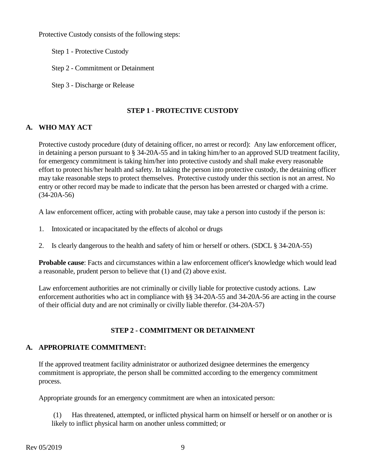Protective Custody consists of the following steps:

- Step 1 Protective Custody
- Step 2 Commitment or Detainment
- Step 3 Discharge or Release

### **STEP 1 - PROTECTIVE CUSTODY**

# **A. WHO MAY ACT**

Protective custody procedure (duty of detaining officer, no arrest or record): Any law enforcement officer, in detaining a person pursuant to § 34-20A-55 and in taking him/her to an approved SUD treatment facility, for emergency commitment is taking him/her into protective custody and shall make every reasonable effort to protect his/her health and safety. In taking the person into protective custody, the detaining officer may take reasonable steps to protect themselves. Protective custody under this section is not an arrest. No entry or other record may be made to indicate that the person has been arrested or charged with a crime. (34-20A-56)

A law enforcement officer, acting with probable cause, may take a person into custody if the person is:

- 1. Intoxicated or incapacitated by the effects of alcohol or drugs
- 2. Is clearly dangerous to the health and safety of him or herself or others. (SDCL § 34-20A-55)

**Probable cause**: Facts and circumstances within a law enforcement officer's knowledge which would lead a reasonable, prudent person to believe that (1) and (2) above exist.

Law enforcement authorities are not criminally or civilly liable for protective custody actions. Law enforcement authorities who act in compliance with §§ 34-20A-55 and 34-20A-56 are acting in the course of their official duty and are not criminally or civilly liable therefor. (34-20A-57)

#### **STEP 2 - COMMITMENT OR DETAINMENT**

#### **A. APPROPRIATE COMMITMENT:**

If the approved treatment facility administrator or authorized designee determines the emergency commitment is appropriate, the person shall be committed according to the emergency commitment process.

Appropriate grounds for an emergency commitment are when an intoxicated person:

(1) Has threatened, attempted, or inflicted physical harm on himself or herself or on another or is likely to inflict physical harm on another unless committed; or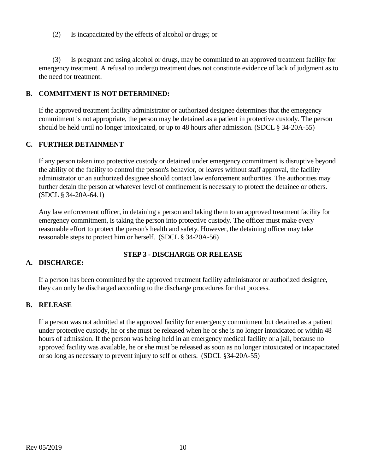(2) Is incapacitated by the effects of alcohol or drugs; or

 (3) Is pregnant and using alcohol or drugs, may be committed to an approved treatment facility for emergency treatment. A refusal to undergo treatment does not constitute evidence of lack of judgment as to the need for treatment.

#### **B. COMMITMENT IS NOT DETERMINED:**

If the approved treatment facility administrator or authorized designee determines that the emergency commitment is not appropriate, the person may be detained as a patient in protective custody. The person should be held until no longer intoxicated, or up to 48 hours after admission. (SDCL § 34-20A-55)

#### **C. FURTHER DETAINMENT**

If any person taken into protective custody or detained under emergency commitment is disruptive beyond the ability of the facility to control the person's behavior, or leaves without staff approval, the facility administrator or an authorized designee should contact law enforcement authorities. The authorities may further detain the person at whatever level of confinement is necessary to protect the detainee or others. (SDCL § 34-20A-64.1)

Any law enforcement officer, in detaining a person and taking them to an approved treatment facility for emergency commitment, is taking the person into protective custody. The officer must make every reasonable effort to protect the person's health and safety. However, the detaining officer may take reasonable steps to protect him or herself. (SDCL § 34-20A-56)

#### **STEP 3 - DISCHARGE OR RELEASE**

#### **A. DISCHARGE:**

If a person has been committed by the approved treatment facility administrator or authorized designee, they can only be discharged according to the discharge procedures for that process.

#### **B. RELEASE**

If a person was not admitted at the approved facility for emergency commitment but detained as a patient under protective custody, he or she must be released when he or she is no longer intoxicated or within 48 hours of admission. If the person was being held in an emergency medical facility or a jail, because no approved facility was available, he or she must be released as soon as no longer intoxicated or incapacitated or so long as necessary to prevent injury to self or others. (SDCL §34-20A-55)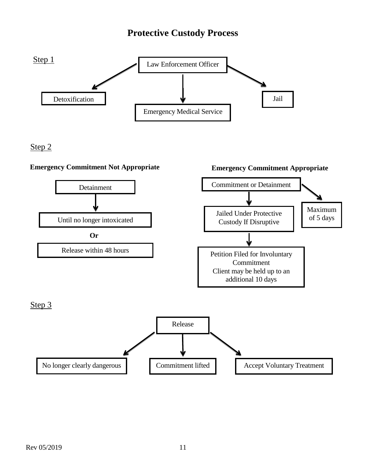# **Protective Custody Process**



Step 2

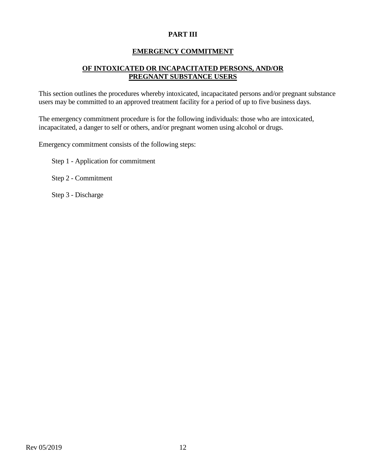# **PART III**

### **EMERGENCY COMMITMENT**

# **OF INTOXICATED OR INCAPACITATED PERSONS, AND/OR PREGNANT SUBSTANCE USERS**

This section outlines the procedures whereby intoxicated, incapacitated persons and/or pregnant substance users may be committed to an approved treatment facility for a period of up to five business days.

The emergency commitment procedure is for the following individuals: those who are intoxicated, incapacitated, a danger to self or others, and/or pregnant women using alcohol or drugs.

Emergency commitment consists of the following steps:

Step 1 - Application for commitment

Step 2 - Commitment

Step 3 - Discharge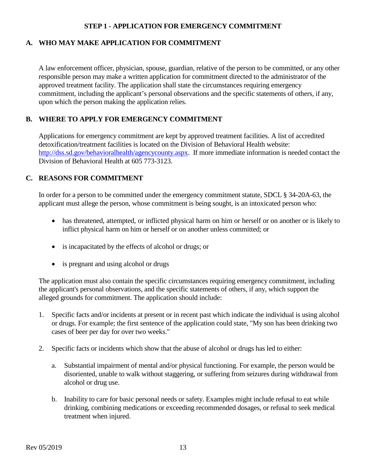#### **STEP 1 - APPLICATION FOR EMERGENCY COMMITMENT**

### **A. WHO MAY MAKE APPLICATION FOR COMMITMENT**

A law enforcement officer, physician, spouse, guardian, relative of the person to be committed, or any other responsible person may make a written application for commitment directed to the administrator of the approved treatment facility. The application shall state the circumstances requiring emergency commitment, including the applicant's personal observations and the specific statements of others, if any, upon which the person making the application relies.

# **B. WHERE TO APPLY FOR EMERGENCY COMMITMENT**

Applications for emergency commitment are kept by approved treatment facilities. A list of accredited detoxification/treatment facilities is located on the Division of Behavioral Health website: [http://dss.sd.gov/behavioralhealth/agencycounty.aspx.](http://dss.sd.gov/behavioralhealth/agencycounty.aspx) If more immediate information is needed contact the Division of Behavioral Health at 605 773-3123.

#### **C. REASONS FOR COMMITMENT**

In order for a person to be committed under the emergency commitment statute, SDCL § 34-20A-63, the applicant must allege the person, whose commitment is being sought, is an intoxicated person who:

- has threatened, attempted, or inflicted physical harm on him or herself or on another or is likely to inflict physical harm on him or herself or on another unless committed; or
- is incapacitated by the effects of alcohol or drugs; or
- is pregnant and using alcohol or drugs

The application must also contain the specific circumstances requiring emergency commitment, including the applicant's personal observations, and the specific statements of others, if any, which support the alleged grounds for commitment. The application should include:

- 1. Specific facts and/or incidents at present or in recent past which indicate the individual is using alcohol or drugs. For example; the first sentence of the application could state, "My son has been drinking two cases of beer per day for over two weeks."
- 2. Specific facts or incidents which show that the abuse of alcohol or drugs has led to either:
	- a. Substantial impairment of mental and/or physical functioning. For example, the person would be disoriented, unable to walk without staggering, or suffering from seizures during withdrawal from alcohol or drug use.
	- b. Inability to care for basic personal needs or safety. Examples might include refusal to eat while drinking, combining medications or exceeding recommended dosages, or refusal to seek medical treatment when injured.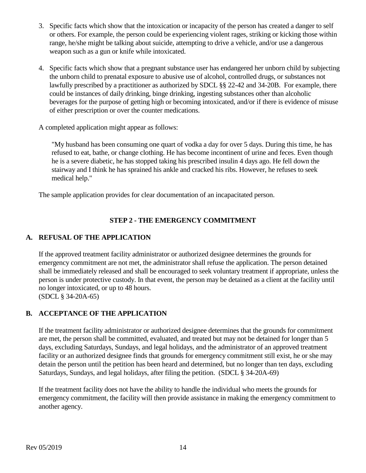- 3. Specific facts which show that the intoxication or incapacity of the person has created a danger to self or others. For example, the person could be experiencing violent rages, striking or kicking those within range, he/she might be talking about suicide, attempting to drive a vehicle, and/or use a dangerous weapon such as a gun or knife while intoxicated.
- 4. Specific facts which show that a pregnant substance user has endangered her unborn child by subjecting the unborn child to prenatal exposure to abusive use of alcohol, controlled drugs, or substances not lawfully prescribed by a practitioner as authorized by SDCL §§ 22-42 and 34-20B. For example, there could be instances of daily drinking, binge drinking, ingesting substances other than alcoholic beverages for the purpose of getting high or becoming intoxicated, and/or if there is evidence of misuse of either prescription or over the counter medications.

A completed application might appear as follows:

"My husband has been consuming one quart of vodka a day for over 5 days. During this time, he has refused to eat, bathe, or change clothing. He has become incontinent of urine and feces. Even though he is a severe diabetic, he has stopped taking his prescribed insulin 4 days ago. He fell down the stairway and I think he has sprained his ankle and cracked his ribs. However, he refuses to seek medical help."

The sample application provides for clear documentation of an incapacitated person.

# **STEP 2 - THE EMERGENCY COMMITMENT**

#### **A. REFUSAL OF THE APPLICATION**

If the approved treatment facility administrator or authorized designee determines the grounds for emergency commitment are not met, the administrator shall refuse the application. The person detained shall be immediately released and shall be encouraged to seek voluntary treatment if appropriate, unless the person is under protective custody. In that event, the person may be detained as a client at the facility until no longer intoxicated, or up to 48 hours. (SDCL § 34-20A-65)

# **B. ACCEPTANCE OF THE APPLICATION**

If the treatment facility administrator or authorized designee determines that the grounds for commitment are met, the person shall be committed, evaluated, and treated but may not be detained for longer than 5 days, excluding Saturdays, Sundays, and legal holidays, and the administrator of an approved treatment facility or an authorized designee finds that grounds for emergency commitment still exist, he or she may detain the person until the petition has been heard and determined, but no longer than ten days, excluding Saturdays, Sundays, and legal holidays, after filing the petition. (SDCL § 34-20A-69)

If the treatment facility does not have the ability to handle the individual who meets the grounds for emergency commitment, the facility will then provide assistance in making the emergency commitment to another agency.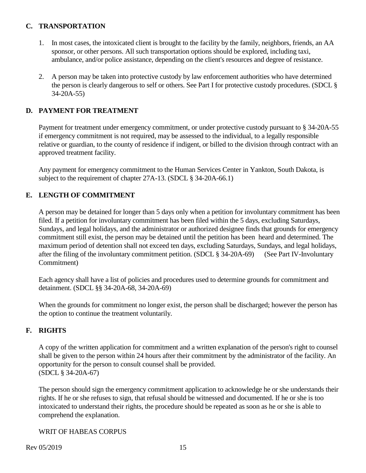### **C. TRANSPORTATION**

- 1. In most cases, the intoxicated client is brought to the facility by the family, neighbors, friends, an AA sponsor, or other persons. All such transportation options should be explored, including taxi, ambulance, and/or police assistance, depending on the client's resources and degree of resistance.
- 2. A person may be taken into protective custody by law enforcement authorities who have determined the person is clearly dangerous to self or others. See Part I for protective custody procedures. (SDCL § 34-20A-55)

# **D. PAYMENT FOR TREATMENT**

Payment for treatment under emergency commitment, or under protective custody pursuant to § 34-20A-55 if emergency commitment is not required, may be assessed to the individual, to a legally responsible relative or guardian, to the county of residence if indigent, or billed to the division through contract with an approved treatment facility.

Any payment for emergency commitment to the Human Services Center in Yankton, South Dakota, is subject to the requirement of chapter 27A-13. (SDCL § 34-20A-66.1)

# **E. LENGTH OF COMMITMENT**

A person may be detained for longer than 5 days only when a petition for involuntary commitment has been filed. If a petition for involuntary commitment has been filed within the 5 days, excluding Saturdays, Sundays, and legal holidays, and the administrator or authorized designee finds that grounds for emergency commitment still exist, the person may be detained until the petition has been heard and determined. The maximum period of detention shall not exceed ten days, excluding Saturdays, Sundays, and legal holidays, after the filing of the involuntary commitment petition. (SDCL § 34-20A-69) (See Part IV-Involuntary Commitment)

Each agency shall have a list of policies and procedures used to determine grounds for commitment and detainment. (SDCL §§ 34-20A-68, 34-20A-69)

When the grounds for commitment no longer exist, the person shall be discharged; however the person has the option to continue the treatment voluntarily.

#### **F. RIGHTS**

A copy of the written application for commitment and a written explanation of the person's right to counsel shall be given to the person within 24 hours after their commitment by the administrator of the facility. An opportunity for the person to consult counsel shall be provided. (SDCL § 34-20A-67)

The person should sign the emergency commitment application to acknowledge he or she understands their rights. If he or she refuses to sign, that refusal should be witnessed and documented. If he or she is too intoxicated to understand their rights, the procedure should be repeated as soon as he or she is able to comprehend the explanation.

# WRIT OF HABEAS CORPUS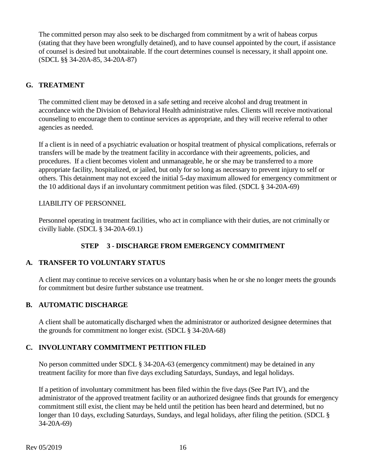The committed person may also seek to be discharged from commitment by a writ of habeas corpus (stating that they have been wrongfully detained), and to have counsel appointed by the court, if assistance of counsel is desired but unobtainable. If the court determines counsel is necessary, it shall appoint one. (SDCL §§ 34-20A-85, 34-20A-87)

# **G. TREATMENT**

The committed client may be detoxed in a safe setting and receive alcohol and drug treatment in accordance with the Division of Behavioral Health administrative rules. Clients will receive motivational counseling to encourage them to continue services as appropriate, and they will receive referral to other agencies as needed.

If a client is in need of a psychiatric evaluation or hospital treatment of physical complications, referrals or transfers will be made by the treatment facility in accordance with their agreements, policies, and procedures. If a client becomes violent and unmanageable, he or she may be transferred to a more appropriate facility, hospitalized, or jailed, but only for so long as necessary to prevent injury to self or others. This detainment may not exceed the initial 5-day maximum allowed for emergency commitment or the 10 additional days if an involuntary commitment petition was filed. (SDCL § 34-20A-69)

#### LIABILITY OF PERSONNEL

Personnel operating in treatment facilities, who act in compliance with their duties, are not criminally or civilly liable. (SDCL § 34-20A-69.1)

# **STEP 3 - DISCHARGE FROM EMERGENCY COMMITMENT**

#### **A. TRANSFER TO VOLUNTARY STATUS**

A client may continue to receive services on a voluntary basis when he or she no longer meets the grounds for commitment but desire further substance use treatment.

#### **B. AUTOMATIC DISCHARGE**

A client shall be automatically discharged when the administrator or authorized designee determines that the grounds for commitment no longer exist. (SDCL § 34-20A-68)

#### **C. INVOLUNTARY COMMITMENT PETITION FILED**

No person committed under SDCL § 34-20A-63 (emergency commitment) may be detained in any treatment facility for more than five days excluding Saturdays, Sundays, and legal holidays.

If a petition of involuntary commitment has been filed within the five days (See Part IV), and the administrator of the approved treatment facility or an authorized designee finds that grounds for emergency commitment still exist, the client may be held until the petition has been heard and determined, but no longer than 10 days, excluding Saturdays, Sundays, and legal holidays, after filing the petition. (SDCL § 34-20A-69)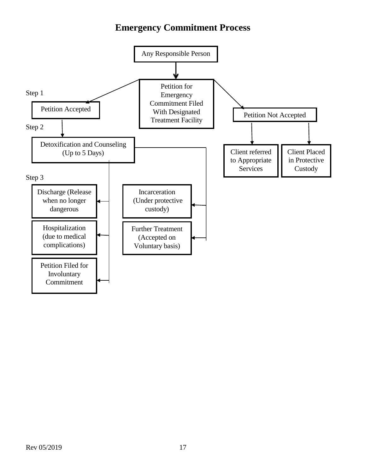# **Emergency Commitment Process**

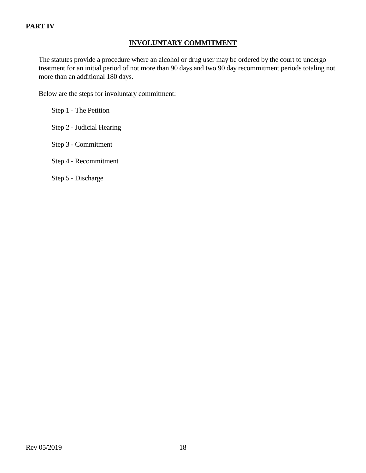# **PART IV**

# **INVOLUNTARY COMMITMENT**

The statutes provide a procedure where an alcohol or drug user may be ordered by the court to undergo treatment for an initial period of not more than 90 days and two 90 day recommitment periods totaling not more than an additional 180 days.

Below are the steps for involuntary commitment:

Step 1 - The Petition

Step 2 - Judicial Hearing

Step 3 - Commitment

Step 4 - Recommitment

Step 5 - Discharge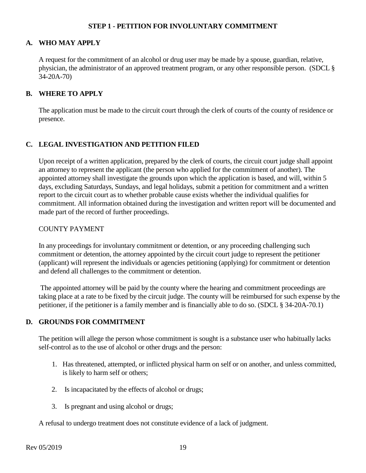#### **STEP 1 - PETITION FOR INVOLUNTARY COMMITMENT**

#### **A. WHO MAY APPLY**

A request for the commitment of an alcohol or drug user may be made by a spouse, guardian, relative, physician, the administrator of an approved treatment program, or any other responsible person. (SDCL § 34-20A-70)

#### **B. WHERE TO APPLY**

The application must be made to the circuit court through the clerk of courts of the county of residence or presence.

#### **C. LEGAL INVESTIGATION AND PETITION FILED**

Upon receipt of a written application, prepared by the clerk of courts, the circuit court judge shall appoint an attorney to represent the applicant (the person who applied for the commitment of another). The appointed attorney shall investigate the grounds upon which the application is based, and will, within 5 days, excluding Saturdays, Sundays, and legal holidays, submit a petition for commitment and a written report to the circuit court as to whether probable cause exists whether the individual qualifies for commitment. All information obtained during the investigation and written report will be documented and made part of the record of further proceedings.

#### COUNTY PAYMENT

In any proceedings for involuntary commitment or detention, or any proceeding challenging such commitment or detention, the attorney appointed by the circuit court judge to represent the petitioner (applicant) will represent the individuals or agencies petitioning (applying) for commitment or detention and defend all challenges to the commitment or detention.

The appointed attorney will be paid by the county where the hearing and commitment proceedings are taking place at a rate to be fixed by the circuit judge. The county will be reimbursed for such expense by the petitioner, if the petitioner is a family member and is financially able to do so. (SDCL § 34-20A-70.1)

#### **D. GROUNDS FOR COMMITMENT**

The petition will allege the person whose commitment is sought is a substance user who habitually lacks self-control as to the use of alcohol or other drugs and the person:

- 1. Has threatened, attempted, or inflicted physical harm on self or on another, and unless committed, is likely to harm self or others;
- 2. Is incapacitated by the effects of alcohol or drugs;
- 3. Is pregnant and using alcohol or drugs;

A refusal to undergo treatment does not constitute evidence of a lack of judgment.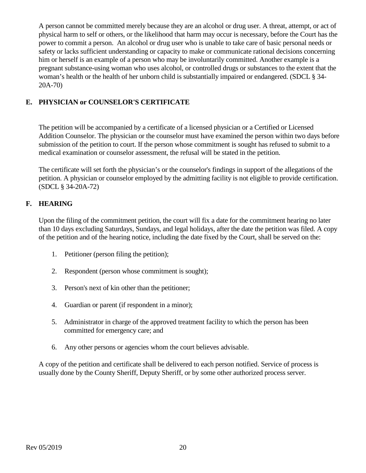A person cannot be committed merely because they are an alcohol or drug user. A threat, attempt, or act of physical harm to self or others, or the likelihood that harm may occur is necessary, before the Court has the power to commit a person. An alcohol or drug user who is unable to take care of basic personal needs or safety or lacks sufficient understanding or capacity to make or communicate rational decisions concerning him or herself is an example of a person who may be involuntarily committed. Another example is a pregnant substance-using woman who uses alcohol, or controlled drugs or substances to the extent that the woman's health or the health of her unborn child is substantially impaired or endangered. (SDCL § 34- 20A-70)

# **E. PHYSICIAN or COUNSELOR'S CERTIFICATE**

The petition will be accompanied by a certificate of a licensed physician or a Certified or Licensed Addition Counselor. The physician or the counselor must have examined the person within two days before submission of the petition to court. If the person whose commitment is sought has refused to submit to a medical examination or counselor assessment, the refusal will be stated in the petition.

The certificate will set forth the physician's or the counselor's findings in support of the allegations of the petition. A physician or counselor employed by the admitting facility is not eligible to provide certification. (SDCL § 34-20A-72)

# **F. HEARING**

Upon the filing of the commitment petition, the court will fix a date for the commitment hearing no later than 10 days excluding Saturdays, Sundays, and legal holidays, after the date the petition was filed. A copy of the petition and of the hearing notice, including the date fixed by the Court, shall be served on the:

- 1. Petitioner (person filing the petition);
- 2. Respondent (person whose commitment is sought);
- 3. Person's next of kin other than the petitioner;
- 4. Guardian or parent (if respondent in a minor);
- 5. Administrator in charge of the approved treatment facility to which the person has been committed for emergency care; and
- 6. Any other persons or agencies whom the court believes advisable.

A copy of the petition and certificate shall be delivered to each person notified. Service of process is usually done by the County Sheriff, Deputy Sheriff, or by some other authorized process server.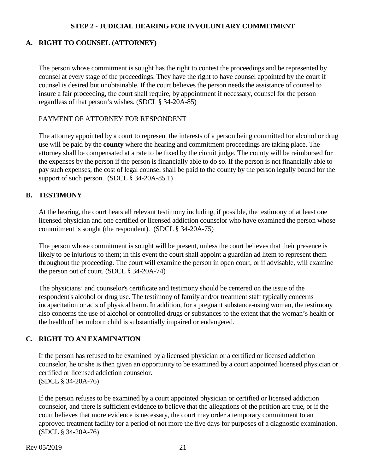#### **STEP 2 - JUDICIAL HEARING FOR INVOLUNTARY COMMITMENT**

#### **A. RIGHT TO COUNSEL (ATTORNEY)**

The person whose commitment is sought has the right to contest the proceedings and be represented by counsel at every stage of the proceedings. They have the right to have counsel appointed by the court if counsel is desired but unobtainable. If the court believes the person needs the assistance of counsel to insure a fair proceeding, the court shall require, by appointment if necessary, counsel for the person regardless of that person's wishes. (SDCL § 34-20A-85)

#### PAYMENT OF ATTORNEY FOR RESPONDENT

The attorney appointed by a court to represent the interests of a person being committed for alcohol or drug use will be paid by the **county** where the hearing and commitment proceedings are taking place. The attorney shall be compensated at a rate to be fixed by the circuit judge. The county will be reimbursed for the expenses by the person if the person is financially able to do so. If the person is not financially able to pay such expenses, the cost of legal counsel shall be paid to the county by the person legally bound for the support of such person. (SDCL § 34-20A-85.1)

#### **B. TESTIMONY**

At the hearing, the court hears all relevant testimony including, if possible, the testimony of at least one licensed physician and one certified or licensed addiction counselor who have examined the person whose commitment is sought (the respondent). (SDCL § 34-20A-75)

The person whose commitment is sought will be present, unless the court believes that their presence is likely to be injurious to them; in this event the court shall appoint a guardian ad litem to represent them throughout the proceeding. The court will examine the person in open court, or if advisable, will examine the person out of court. (SDCL § 34-20A-74)

The physicians' and counselor's certificate and testimony should be centered on the issue of the respondent's alcohol or drug use. The testimony of family and/or treatment staff typically concerns incapacitation or acts of physical harm. In addition, for a pregnant substance-using woman, the testimony also concerns the use of alcohol or controlled drugs or substances to the extent that the woman's health or the health of her unborn child is substantially impaired or endangered.

#### **C. RIGHT TO AN EXAMINATION**

If the person has refused to be examined by a licensed physician or a certified or licensed addiction counselor, he or she is then given an opportunity to be examined by a court appointed licensed physician or certified or licensed addiction counselor. (SDCL § 34-20A-76)

If the person refuses to be examined by a court appointed physician or certified or licensed addiction counselor, and there is sufficient evidence to believe that the allegations of the petition are true, or if the court believes that more evidence is necessary, the court may order a temporary commitment to an approved treatment facility for a period of not more the five days for purposes of a diagnostic examination. (SDCL § 34-20A-76)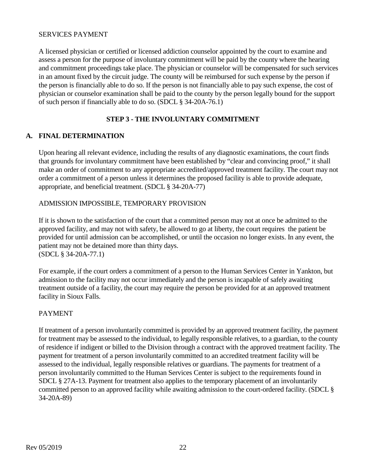#### SERVICES PAYMENT

A licensed physician or certified or licensed addiction counselor appointed by the court to examine and assess a person for the purpose of involuntary commitment will be paid by the county where the hearing and commitment proceedings take place. The physician or counselor will be compensated for such services in an amount fixed by the circuit judge. The county will be reimbursed for such expense by the person if the person is financially able to do so. If the person is not financially able to pay such expense, the cost of physician or counselor examination shall be paid to the county by the person legally bound for the support of such person if financially able to do so. (SDCL § 34-20A-76.1)

# **STEP 3 - THE INVOLUNTARY COMMITMENT**

# **A. FINAL DETERMINATION**

Upon hearing all relevant evidence, including the results of any diagnostic examinations, the court finds that grounds for involuntary commitment have been established by "clear and convincing proof," it shall make an order of commitment to any appropriate accredited/approved treatment facility. The court may not order a commitment of a person unless it determines the proposed facility is able to provide adequate, appropriate, and beneficial treatment. (SDCL § 34-20A-77)

#### ADMISSION IMPOSSIBLE, TEMPORARY PROVISION

If it is shown to the satisfaction of the court that a committed person may not at once be admitted to the approved facility, and may not with safety, be allowed to go at liberty, the court requires the patient be provided for until admission can be accomplished, or until the occasion no longer exists. In any event, the patient may not be detained more than thirty days. (SDCL § 34-20A-77.1)

For example, if the court orders a commitment of a person to the Human Services Center in Yankton, but admission to the facility may not occur immediately and the person is incapable of safely awaiting treatment outside of a facility, the court may require the person be provided for at an approved treatment facility in Sioux Falls.

#### PAYMENT

If treatment of a person involuntarily committed is provided by an approved treatment facility, the payment for treatment may be assessed to the individual, to legally responsible relatives, to a guardian, to the county of residence if indigent or billed to the Division through a contract with the approved treatment facility. The payment for treatment of a person involuntarily committed to an accredited treatment facility will be assessed to the individual, legally responsible relatives or guardians. The payments for treatment of a person involuntarily committed to the Human Services Center is subject to the requirements found in SDCL § 27A-13. Payment for treatment also applies to the temporary placement of an involuntarily committed person to an approved facility while awaiting admission to the court-ordered facility. (SDCL § 34-20A-89)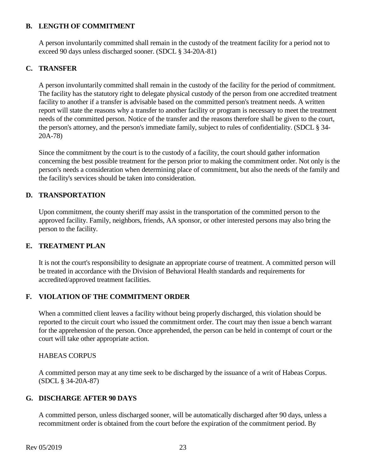#### **B. LENGTH OF COMMITMENT**

A person involuntarily committed shall remain in the custody of the treatment facility for a period not to exceed 90 days unless discharged sooner. (SDCL § 34-20A-81)

# **C. TRANSFER**

A person involuntarily committed shall remain in the custody of the facility for the period of commitment. The facility has the statutory right to delegate physical custody of the person from one accredited treatment facility to another if a transfer is advisable based on the committed person's treatment needs. A written report will state the reasons why a transfer to another facility or program is necessary to meet the treatment needs of the committed person. Notice of the transfer and the reasons therefore shall be given to the court, the person's attorney, and the person's immediate family, subject to rules of confidentiality. (SDCL § 34- 20A-78)

Since the commitment by the court is to the custody of a facility, the court should gather information concerning the best possible treatment for the person prior to making the commitment order. Not only is the person's needs a consideration when determining place of commitment, but also the needs of the family and the facility's services should be taken into consideration.

# **D. TRANSPORTATION**

Upon commitment, the county sheriff may assist in the transportation of the committed person to the approved facility. Family, neighbors, friends, AA sponsor, or other interested persons may also bring the person to the facility.

#### **E. TREATMENT PLAN**

It is not the court's responsibility to designate an appropriate course of treatment. A committed person will be treated in accordance with the Division of Behavioral Health standards and requirements for accredited/approved treatment facilities.

#### **F. VIOLATION OF THE COMMITMENT ORDER**

When a committed client leaves a facility without being properly discharged, this violation should be reported to the circuit court who issued the commitment order. The court may then issue a bench warrant for the apprehension of the person. Once apprehended, the person can be held in contempt of court or the court will take other appropriate action.

#### HABEAS CORPUS

A committed person may at any time seek to be discharged by the issuance of a writ of Habeas Corpus. (SDCL § 34-20A-87)

#### **G. DISCHARGE AFTER 90 DAYS**

A committed person, unless discharged sooner, will be automatically discharged after 90 days, unless a recommitment order is obtained from the court before the expiration of the commitment period. By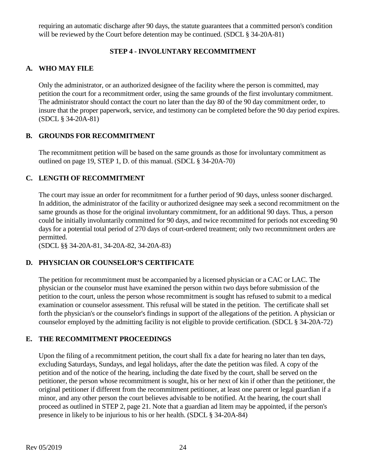requiring an automatic discharge after 90 days, the statute guarantees that a committed person's condition will be reviewed by the Court before detention may be continued. (SDCL § 34-20A-81)

# **STEP 4 - INVOLUNTARY RECOMMITMENT**

# **A. WHO MAY FILE**

Only the administrator, or an authorized designee of the facility where the person is committed, may petition the court for a recommitment order, using the same grounds of the first involuntary commitment. The administrator should contact the court no later than the day 80 of the 90 day commitment order, to insure that the proper paperwork, service, and testimony can be completed before the 90 day period expires. (SDCL § 34-20A-81)

# **B. GROUNDS FOR RECOMMITMENT**

The recommitment petition will be based on the same grounds as those for involuntary commitment as outlined on page 19, STEP 1, D. of this manual. (SDCL § 34-20A-70)

# **C. LENGTH OF RECOMMITMENT**

The court may issue an order for recommitment for a further period of 90 days, unless sooner discharged. In addition, the administrator of the facility or authorized designee may seek a second recommitment on the same grounds as those for the original involuntary commitment, for an additional 90 days. Thus, a person could be initially involuntarily committed for 90 days, and twice recommitted for periods not exceeding 90 days for a potential total period of 270 days of court-ordered treatment; only two recommitment orders are permitted.

(SDCL §§ 34-20A-81, 34-20A-82, 34-20A-83)

# **D. PHYSICIAN OR COUNSELOR'S CERTIFICATE**

The petition for recommitment must be accompanied by a licensed physician or a CAC or LAC. The physician or the counselor must have examined the person within two days before submission of the petition to the court, unless the person whose recommitment is sought has refused to submit to a medical examination or counselor assessment. This refusal will be stated in the petition. The certificate shall set forth the physician's or the counselor's findings in support of the allegations of the petition. A physician or counselor employed by the admitting facility is not eligible to provide certification. (SDCL § 34-20A-72)

#### **E. THE RECOMMITMENT PROCEEDINGS**

Upon the filing of a recommitment petition, the court shall fix a date for hearing no later than ten days, excluding Saturdays, Sundays, and legal holidays, after the date the petition was filed. A copy of the petition and of the notice of the hearing, including the date fixed by the court, shall be served on the petitioner, the person whose recommitment is sought, his or her next of kin if other than the petitioner, the original petitioner if different from the recommitment petitioner, at least one parent or legal guardian if a minor, and any other person the court believes advisable to be notified. At the hearing, the court shall proceed as outlined in STEP 2, page 21. Note that a guardian ad litem may be appointed, if the person's presence in likely to be injurious to his or her health. (SDCL § 34-20A-84)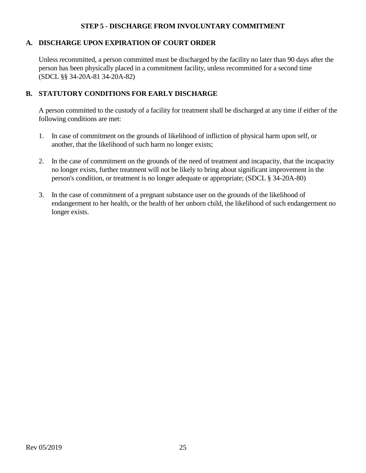#### **STEP 5 - DISCHARGE FROM INVOLUNTARY COMMITMENT**

#### **A. DISCHARGE UPON EXPIRATION OF COURT ORDER**

Unless recommitted, a person committed must be discharged by the facility no later than 90 days after the person has been physically placed in a commitment facility, unless recommitted for a second time (SDCL §§ 34-20A-81 34-20A-82)

#### **B. STATUTORY CONDITIONS FOR EARLY DISCHARGE**

A person committed to the custody of a facility for treatment shall be discharged at any time if either of the following conditions are met:

- 1. In case of commitment on the grounds of likelihood of infliction of physical harm upon self, or another, that the likelihood of such harm no longer exists;
- 2. In the case of commitment on the grounds of the need of treatment and incapacity, that the incapacity no longer exists, further treatment will not be likely to bring about significant improvement in the person's condition, or treatment is no longer adequate or appropriate; (SDCL § 34-20A-80)
- 3. In the case of commitment of a pregnant substance user on the grounds of the likelihood of endangerment to her health, or the health of her unborn child, the likelihood of such endangerment no longer exists.